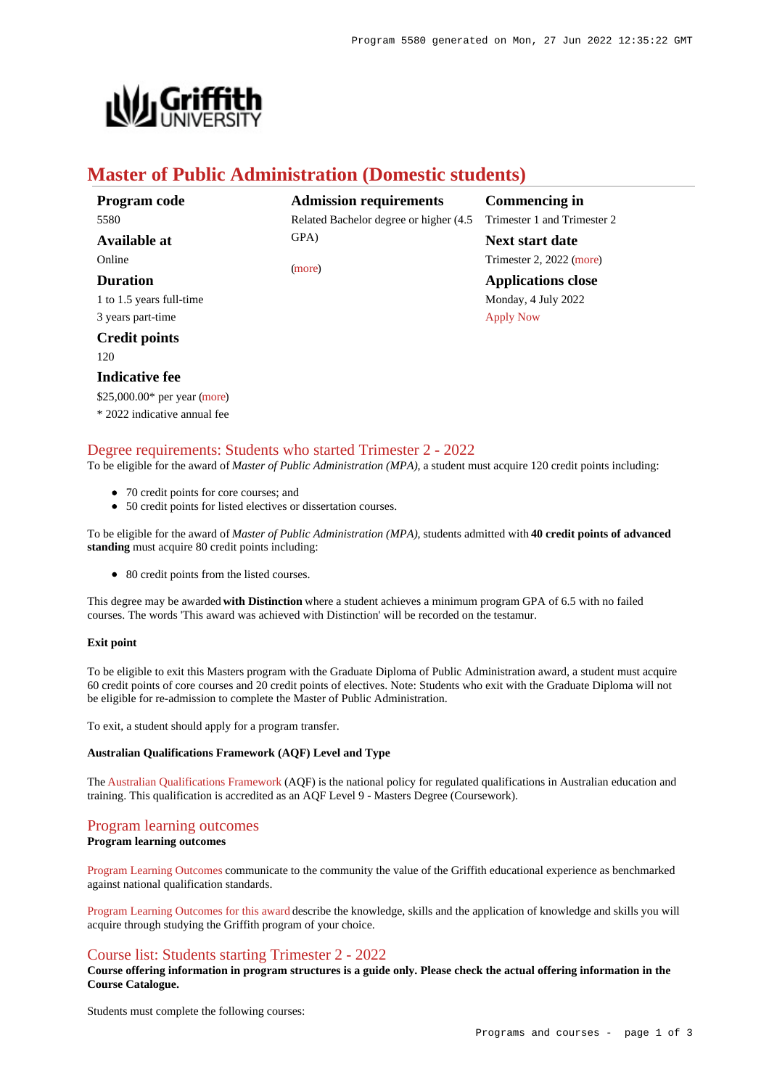

# **Master of Public Administration (Domestic students)**

| Program code             | <b>Admission requirements</b>           | <b>Commencing in</b>        |
|--------------------------|-----------------------------------------|-----------------------------|
| 5580                     | Related Bachelor degree or higher (4.5) | Trimester 1 and Trimester 2 |
| Available at             | GPA)                                    | <b>Next start date</b>      |
| Online                   | (more)                                  | Trimester 2, 2022 (more)    |
| <b>Duration</b>          |                                         | <b>Applications close</b>   |
| 1 to 1.5 years full-time |                                         | Monday, 4 July 2022         |
| 3 years part-time        |                                         | <b>Apply Now</b>            |
| <b>Credit points</b>     |                                         |                             |
| 120                      |                                         |                             |
| <b>Indicative fee</b>    |                                         |                             |

\$25,000.00\* per year [\(more](https://www148.griffith.edu.au/programs-courses/Program/5580/Overview/Domestic#fees))

\* 2022 indicative annual fee

[Degree requirements: Students who started Trimester 2 - 2022](https://www148.griffith.edu.au/programs-courses/Program/5580/Courses/Domestic#degree-requirements)

To be eligible for the award of *Master of Public Administration (MPA)*, a student must acquire 120 credit points including:

- 70 credit points for core courses; and
- 50 credit points for listed electives or dissertation courses.

To be eligible for the award of *Master of Public Administration (MPA)*, students admitted with **40 credit points of advanced standing** must acquire 80 credit points including:

• 80 credit points from the listed courses.

This degree may be awarded **with Distinction** where a student achieves a minimum program GPA of 6.5 with no failed courses. The words 'This award was achieved with Distinction' will be recorded on the testamur.

#### **Exit point**

To be eligible to exit this Masters program with the Graduate Diploma of Public Administration award, a student must acquire 60 credit points of core courses and 20 credit points of electives. Note: Students who exit with the Graduate Diploma will not be eligible for re-admission to complete the Master of Public Administration.

To exit, a student should apply for a program transfer.

#### **Australian Qualifications Framework (AQF) Level and Type**

The [Australian Qualifications Framework](http://www.aqf.edu.au/) (AQF) is the national policy for regulated qualifications in Australian education and training. This qualification is accredited as an AQF Level 9 - Masters Degree (Coursework).

## [Program learning outcomes](https://www148.griffith.edu.au/programs-courses/Program/5580/Courses/Domestic#programLearningOutcomes)

## **Program learning outcomes**

[Program Learning Outcomes](https://www.griffith.edu.au/__data/assets/pdf_file/0017/134522/PLO-general-advice.pdf) communicate to the community the value of the Griffith educational experience as benchmarked against national qualification standards.

[Program Learning Outcomes for this award](https://www.griffith.edu.au/__data/assets/pdf_file/0022/295501/MPublic-Admin-PLO-L9.pdf) describe the knowledge, skills and the application of knowledge and skills you will acquire through studying the Griffith program of your choice.

# [Course list: Students starting Trimester 2 - 2022](https://www148.griffith.edu.au/programs-courses/Program/5580/Courses/Domestic#course-list-content)

**Course offering information in program structures is a guide only. Please check the actual offering information in the Course Catalogue.**

Students must complete the following courses: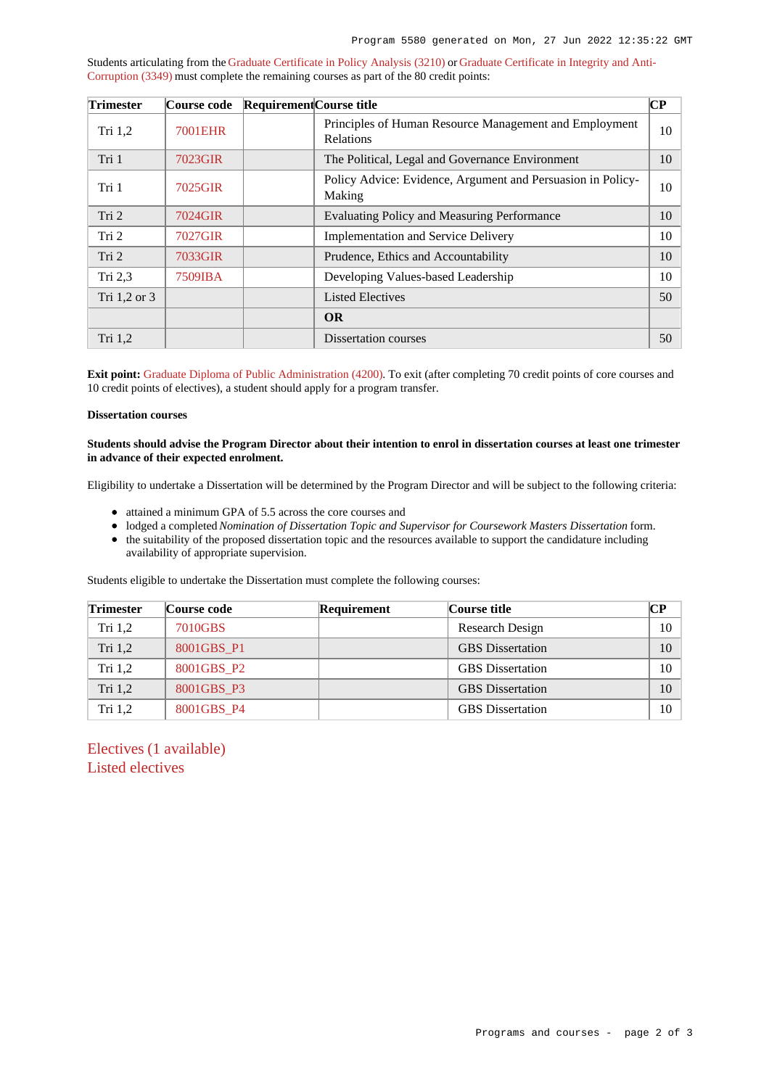Students articulating from the [Graduate Certificate in Policy Analysis \(3210\)](https://www148.griffith.edu.au/Search/Results?SearchText=3210) or [Graduate Certificate in Integrity and Anti-](https://www148.griffith.edu.au/Search/Results?SearchText=3349)[Corruption \(3349\)](https://www148.griffith.edu.au/Search/Results?SearchText=3349) must complete the remaining courses as part of the 80 credit points:

| <b>Trimester</b> | Course code    | Requirement Course title |                                                                            | $\bf CP$ |
|------------------|----------------|--------------------------|----------------------------------------------------------------------------|----------|
| Tri 1,2          | <b>7001EHR</b> |                          | Principles of Human Resource Management and Employment<br><b>Relations</b> | 10       |
| Tri 1            | 7023GIR        |                          | The Political, Legal and Governance Environment                            | 10       |
| Tri 1            | 7025GIR        |                          | Policy Advice: Evidence, Argument and Persuasion in Policy-<br>Making      | 10       |
| Tri 2            | 7024GIR        |                          | Evaluating Policy and Measuring Performance                                | 10       |
| Tri 2            | 7027GIR        |                          | <b>Implementation and Service Delivery</b>                                 | 10       |
| Tri 2            | 7033GIR        |                          | Prudence, Ethics and Accountability                                        | 10       |
| Tri $2,3$        | 7509IBA        |                          | Developing Values-based Leadership                                         | 10       |
| Tri 1,2 or 3     |                |                          | <b>Listed Electives</b>                                                    | 50       |
|                  |                |                          | <b>OR</b>                                                                  |          |
| Tri 1,2          |                |                          | Dissertation courses                                                       | 50       |

**Exit point:** [Graduate Diploma of Public Administration \(4200\)](https://www148.griffith.edu.au/Search/Results?SearchText=4200). To exit (after completing 70 credit points of core courses and 10 credit points of electives), a student should apply for a program transfer.

## **Dissertation courses**

#### **Students should advise the Program Director about their intention to enrol in dissertation courses at least one trimester in advance of their expected enrolment.**

Eligibility to undertake a Dissertation will be determined by the Program Director and will be subject to the following criteria:

- attained a minimum GPA of 5.5 across the core courses and
- lodged a completed *Nomination of Dissertation Topic and Supervisor for Coursework Masters Dissertation* form.
- the suitability of the proposed dissertation topic and the resources available to support the candidature including availability of appropriate supervision.

Students eligible to undertake the Dissertation must complete the following courses:

| <b>Trimester</b> | Course code | <b>Requirement</b> | Course title            | CР |
|------------------|-------------|--------------------|-------------------------|----|
| Tri $1,2$        | 7010GBS     |                    | Research Design         | 10 |
| Tri 1,2          | 8001GBS P1  |                    | <b>GBS</b> Dissertation | 10 |
| Tri $1,2$        | 8001GBS P2  |                    | <b>GBS</b> Dissertation | 10 |
| Tri $1,2$        | 8001GBS P3  |                    | <b>GBS</b> Dissertation | 10 |
| Tri $1,2$        | 8001GBS P4  |                    | <b>GBS</b> Dissertation | 10 |

Electives (1 available) Listed electives